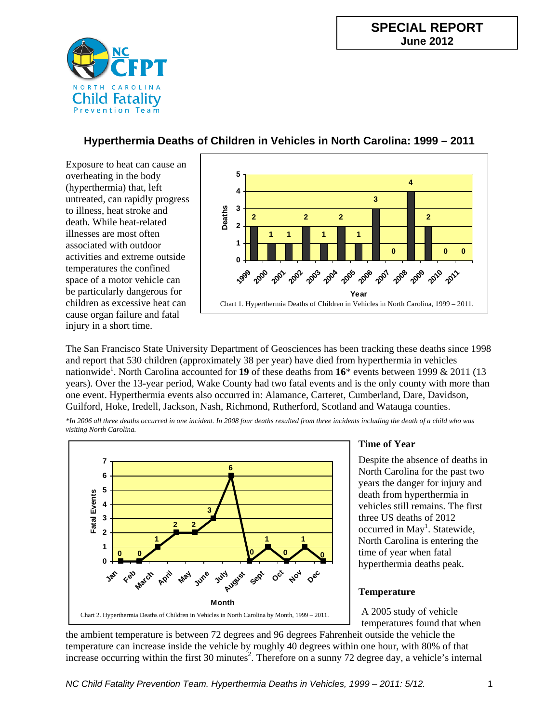

# **Hyperthermia Deaths of Children in Vehicles in North Carolina: 1999 – 2011**

Exposure to heat can cause an overheating in the body (hyperthermia) that, left untreated, can rapidly progress to illness, heat stroke and death. While heat-related illnesses are most often associated with outdoor activities and extreme outside temperatures the confined space of a motor vehicle can be particularly dangerous for children as excessive heat can cause organ failure and fatal injury in a short time.



The San Francisco State University Department of Geosciences has been tracking these deaths since 1998 and report that 530 children (approximately 38 per year) have died from hyperthermia in vehicles nationwide<sup>1</sup>. North Carolina accounted for **19** of these deaths from **16**\* events between 1999 & 2011 (13 years). Over the 13-year period, Wake County had two fatal events and is the only county with more than one event. Hyperthermia events also occurred in: Alamance, Carteret, Cumberland, Dare, Davidson, Guilford, Hoke, Iredell, Jackson, Nash, Richmond, Rutherford, Scotland and Watauga counties.

*\*In 2006 all three deaths occurred in one incident. In 2008 four deaths resulted from three incidents including the death of a child who was visiting North Carolina.*



# **Time of Year**

Despite the absence of deaths in North Carolina for the past two years the danger for injury and death from hyperthermia in vehicles still remains. The first three US deaths of 2012 occurred in May<sup>1</sup>. Statewide, North Carolina is entering the time of year when fatal hyperthermia deaths peak.

# **Temperature**

A 2005 study of vehicle temperatures found that when

the ambient temperature is between 72 degrees and 96 degrees Fahrenheit outside the vehicle the temperature can increase inside the vehicle by roughly 40 degrees within one hour, with 80% of that increase occurring within the first 30 minutes<sup>2</sup>. Therefore on a sunny 72 degree day, a vehicle's internal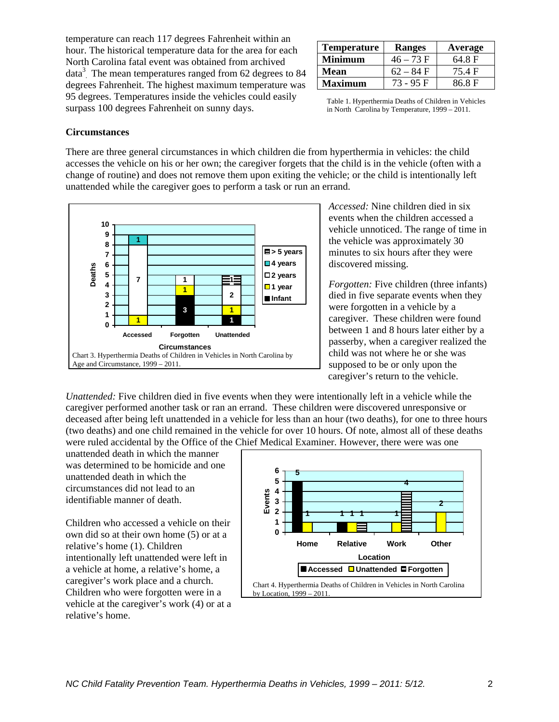temperature can reach 117 degrees Fahrenheit within an hour. The historical temperature data for the area for each North Carolina fatal event was obtained from archived data<sup>3</sup>. The mean temperatures ranged from 62 degrees to 84 degrees Fahrenheit. The highest maximum temperature was 95 degrees. Temperatures inside the vehicles could easily surpass 100 degrees Fahrenheit on sunny days.

| <b>Temperature</b> | <b>Ranges</b> | Average |
|--------------------|---------------|---------|
| Minimum            | $46 - 73 F$   | 64.8 F  |
| Mean               | $62 - 84$ F   | 75.4 F  |
| Maximum            | 73 - 95 F     | 86.8 F  |

Table 1. Hyperthermia Deaths of Children in Vehicles in North Carolina by Temperature, 1999 – 2011.

#### **Circumstances**

There are three general circumstances in which children die from hyperthermia in vehicles: the child accesses the vehicle on his or her own; the caregiver forgets that the child is in the vehicle (often with a change of routine) and does not remove them upon exiting the vehicle; or the child is intentionally left unattended while the caregiver goes to perform a task or run an errand.



*Accessed:* Nine children died in six events when the children accessed a vehicle unnoticed. The range of time in the vehicle was approximately 30 minutes to six hours after they were discovered missing.

*Forgotten:* Five children (three infants) died in five separate events when they were forgotten in a vehicle by a caregiver. These children were found between 1 and 8 hours later either by a passerby, when a caregiver realized the child was not where he or she was supposed to be or only upon the caregiver's return to the vehicle.

*Unattended:* Five children died in five events when they were intentionally left in a vehicle while the caregiver performed another task or ran an errand. These children were discovered unresponsive or deceased after being left unattended in a vehicle for less than an hour (two deaths), for one to three hours (two deaths) and one child remained in the vehicle for over 10 hours. Of note, almost all of these deaths were ruled accidental by the Office of the Chief Medical Examiner. However, there were was one

unattended death in which the manner was determined to be homicide and one unattended death in which the circumstances did not lead to an identifiable manner of death.

Children who accessed a vehicle on their own did so at their own home (5) or at a relative's home (1). Children intentionally left unattended were left in a vehicle at home, a relative's home, a caregiver's work place and a church. Children who were forgotten were in a vehicle at the caregiver's work (4) or at a relative's home.